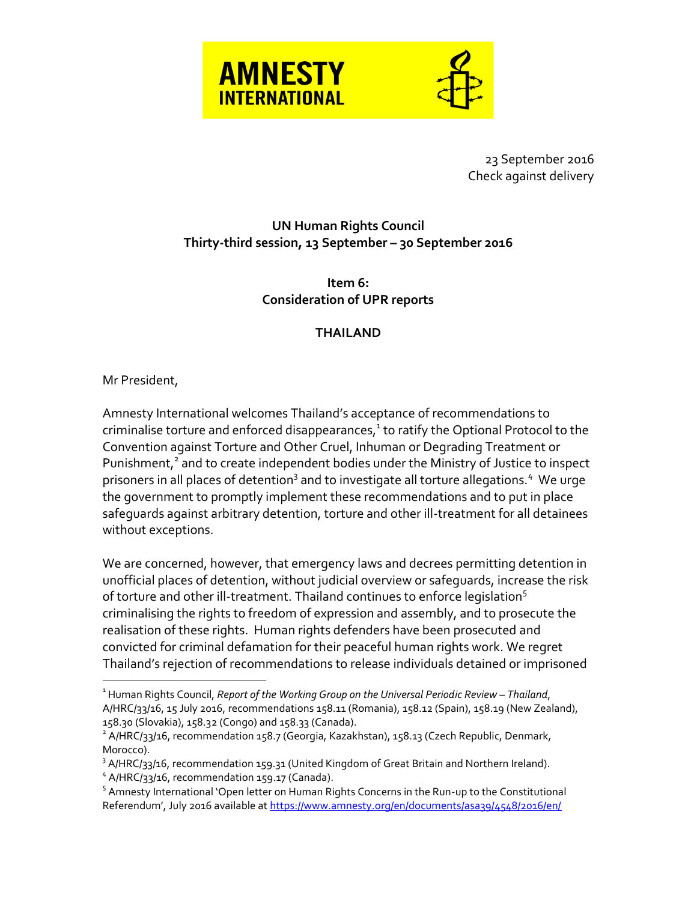

23 September 2016 Check against delivery

## **UN Human Rights Council Thirty-third session, 13 September – 30 September 2016**

**Item 6: Consideration of UPR reports**

## **THAILAND**

## Mr President,

 $\overline{a}$ 

Amnesty International welcomes Thailand's acceptance of recommendations to criminalise torture and enforced disappearances, $^1$  to ratify the Optional Protocol to the Convention against Torture and Other Cruel, Inhuman or Degrading Treatment or Punishment,<sup>2</sup> and to create independent bodies under the Ministry of Justice to inspect prisoners in all places of detention<sup>3</sup> and to investigate all torture allegations.<sup>4</sup> We urge the government to promptly implement these recommendations and to put in place safeguards against arbitrary detention, torture and other ill-treatment for all detainees without exceptions.

We are concerned, however, that emergency laws and decrees permitting detention in unofficial places of detention, without judicial overview or safeguards, increase the risk of torture and other ill-treatment. Thailand continues to enforce legislation<sup>5</sup> criminalising the rights to freedom of expression and assembly, and to prosecute the realisation of these rights. Human rights defenders have been prosecuted and convicted for criminal defamation for their peaceful human rights work. We regret Thailand's rejection of recommendations to release individuals detained or imprisoned

<sup>&</sup>lt;sup>1</sup> Human Rights Council, *Report of the Working Group on the Universal Periodic Review – Thailand,* A/HRC/33/16, 15 July 2016, recommendations 158.11 (Romania), 158.12 (Spain), 158.19 (New Zealand), 158.30 (Slovakia), 158.32 (Congo) and 158.33 (Canada).

<sup>&</sup>lt;sup>2</sup> A/HRC/33/16, recommendation 158.7 (Georgia, Kazakhstan), 158.13 (Czech Republic, Denmark, Morocco).

 $3$  A/HRC/33/16, recommendation 159.31 (United Kingdom of Great Britain and Northern Ireland).

<sup>&</sup>lt;sup>4</sup> A/HRC/33/16, recommendation 159.17 (Canada).

<sup>&</sup>lt;sup>5</sup> Amnesty International 'Open letter on Human Rights Concerns in the Run-up to the Constitutional Referendum', July 2016 available at <https://www.amnesty.org/en/documents/asa39/4548/2016/en/>